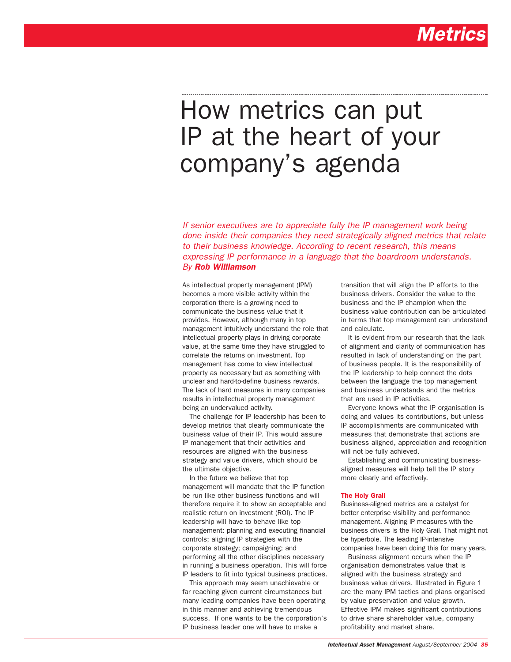# How metrics can put IP at the heart of your company's agenda

*If senior executives are to appreciate fully the IP management work being done inside their companies they need strategically aligned metrics that relate to their business knowledge. According to recent research, this means expressing IP performance in a language that the boardroom understands. By Rob Williamson*

As intellectual property management (IPM) becomes a more visible activity within the corporation there is a growing need to communicate the business value that it provides. However, although many in top management intuitively understand the role that intellectual property plays in driving corporate value, at the same time they have struggled to correlate the returns on investment. Top management has come to view intellectual property as necessary but as something with unclear and hard-to-define business rewards. The lack of hard measures in many companies results in intellectual property management being an undervalued activity.

The challenge for IP leadership has been to develop metrics that clearly communicate the business value of their IP. This would assure IP management that their activities and resources are aligned with the business strategy and value drivers, which should be the ultimate objective.

In the future we believe that top management will mandate that the IP function be run like other business functions and will therefore require it to show an acceptable and realistic return on investment (ROI). The IP leadership will have to behave like top management: planning and executing financial controls; aligning IP strategies with the corporate strategy; campaigning; and performing all the other disciplines necessary in running a business operation. This will force IP leaders to fit into typical business practices.

This approach may seem unachievable or far reaching given current circumstances but many leading companies have been operating in this manner and achieving tremendous success. If one wants to be the corporation's IP business leader one will have to make a

transition that will align the IP efforts to the business drivers. Consider the value to the business and the IP champion when the business value contribution can be articulated in terms that top management can understand and calculate.

It is evident from our research that the lack of alignment and clarity of communication has resulted in lack of understanding on the part of business people. It is the responsibility of the IP leadership to help connect the dots between the language the top management and business understands and the metrics that are used in IP activities.

Everyone knows what the IP organisation is doing and values its contributions, but unless IP accomplishments are communicated with measures that demonstrate that actions are business aligned, appreciation and recognition will not be fully achieved.

Establishing and communicating businessaligned measures will help tell the IP story more clearly and effectively.

#### The Holy Grail

Business-aligned metrics are a catalyst for better enterprise visibility and performance management. Aligning IP measures with the business drivers is the Holy Grail. That might not be hyperbole. The leading IP-intensive companies have been doing this for many years.

Business alignment occurs when the IP organisation demonstrates value that is aligned with the business strategy and business value drivers. Illustrated in Figure 1 are the many IPM tactics and plans organised by value preservation and value growth. Effective IPM makes significant contributions to drive share shareholder value, company profitability and market share.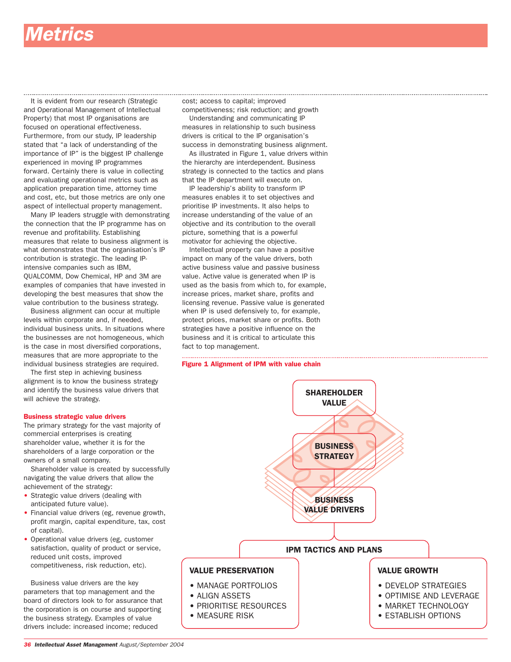### *Metrics*

It is evident from our research (Strategic and Operational Management of Intellectual Property) that most IP organisations are focused on operational effectiveness. Furthermore, from our study, IP leadership stated that "a lack of understanding of the importance of IP" is the biggest IP challenge experienced in moving IP programmes forward. Certainly there is value in collecting and evaluating operational metrics such as application preparation time, attorney time and cost, etc, but those metrics are only one aspect of intellectual property management.

Many IP leaders struggle with demonstrating the connection that the IP programme has on revenue and profitability. Establishing measures that relate to business alignment is what demonstrates that the organisation's IP contribution is strategic. The leading IPintensive companies such as IBM, QUALCOMM, Dow Chemical, HP and 3M are examples of companies that have invested in developing the best measures that show the value contribution to the business strategy.

Business alignment can occur at multiple levels within corporate and, if needed, individual business units. In situations where the businesses are not homogeneous, which is the case in most diversified corporations, measures that are more appropriate to the individual business strategies are required.

The first step in achieving business alignment is to know the business strategy and identify the business value drivers that will achieve the strategy.

#### Business strategic value drivers

The primary strategy for the vast majority of commercial enterprises is creating shareholder value, whether it is for the shareholders of a large corporation or the owners of a small company.

Shareholder value is created by successfully navigating the value drivers that allow the achievement of the strategy:

- Strategic value drivers (dealing with anticipated future value).
- Financial value drivers (eg, revenue growth, profit margin, capital expenditure, tax, cost of capital).
- Operational value drivers (eg, customer satisfaction, quality of product or service, reduced unit costs, improved competitiveness, risk reduction, etc).

Business value drivers are the key parameters that top management and the board of directors look to for assurance that the corporation is on course and supporting the business strategy. Examples of value drivers include: increased income; reduced

cost; access to capital; improved competitiveness; risk reduction; and growth

Understanding and communicating IP measures in relationship to such business drivers is critical to the IP organisation's success in demonstrating business alignment.

As illustrated in Figure 1, value drivers within the hierarchy are interdependent. Business strategy is connected to the tactics and plans that the IP department will execute on.

IP leadership's ability to transform IP measures enables it to set objectives and prioritise IP investments. It also helps to increase understanding of the value of an objective and its contribution to the overall picture, something that is a powerful motivator for achieving the objective.

Intellectual property can have a positive impact on many of the value drivers, both active business value and passive business value. Active value is generated when IP is used as the basis from which to, for example, increase prices, market share, profits and licensing revenue. Passive value is generated when IP is used defensively to, for example, protect prices, market share or profits. Both strategies have a positive influence on the business and it is critical to articulate this fact to top management.



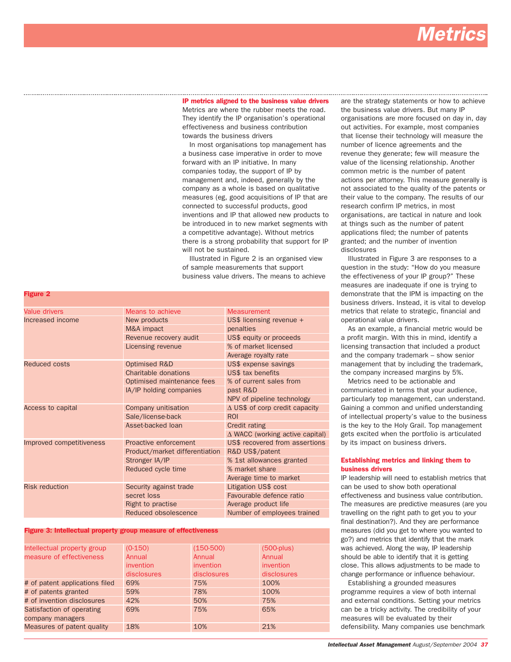# *Metrics*

IP metrics aligned to the business value drivers Metrics are where the rubber meets the road. They identify the IP organisation's operational effectiveness and business contribution towards the business drivers

In most organisations top management has a business case imperative in order to move forward with an IP initiative. In many companies today, the support of IP by management and, indeed, generally by the company as a whole is based on qualitative measures (eg, good acquisitions of IP that are connected to successful products, good inventions and IP that allowed new products to be introduced in to new market segments with a competitive advantage). Without metrics there is a strong probability that support for IP will not be sustained.

Illustrated in Figure 2 is an organised view of sample measurements that support business value drivers. The means to achieve

| Value drivers            | Means to achieve               | <b>Measurement</b>                        |  |  |
|--------------------------|--------------------------------|-------------------------------------------|--|--|
| Increased income         | New products                   | US\$ licensing revenue +                  |  |  |
|                          | M&A impact                     | penalties                                 |  |  |
|                          | Revenue recovery audit         | US\$ equity or proceeds                   |  |  |
|                          | Licensing revenue              | % of market licensed                      |  |  |
|                          |                                | Average royalty rate                      |  |  |
| <b>Reduced costs</b>     | Optimised R&D                  | US\$ expense savings                      |  |  |
|                          | Charitable donations           | US\$ tax benefits                         |  |  |
|                          | Optimised maintenance fees     | % of current sales from                   |  |  |
|                          | IA/IP holding companies        | past R&D                                  |  |  |
|                          |                                | NPV of pipeline technology                |  |  |
| Access to capital        | Company unitisation            | $\triangle$ US\$ of corp credit capacity  |  |  |
|                          | Sale/license-back              | <b>ROI</b>                                |  |  |
|                          | Asset-backed loan              | Credit rating                             |  |  |
|                          |                                | $\triangle$ WACC (working active capital) |  |  |
| Improved competitiveness | Proactive enforcement          | US\$ recovered from assertions            |  |  |
|                          | Product/market differentiation | R&D US\$/patent                           |  |  |
|                          | Stronger IA/IP                 | % 1st allowances granted                  |  |  |
|                          | Reduced cycle time             | % market share                            |  |  |
|                          |                                | Average time to market                    |  |  |
| <b>Risk reduction</b>    | Security against trade         | Litigation US\$ cost                      |  |  |
|                          | secret loss                    | Favourable defence ratio                  |  |  |
|                          | Right to practise              | Average product life                      |  |  |
|                          | Reduced obsolescence           | Number of employees trained               |  |  |

#### Figure 3: Intellectual property group measure of effectiveness

Figure 2

| $(0-150)$   | $(150-500)$ | $(500 - plus)$ |
|-------------|-------------|----------------|
| Annual      | Annual      | Annual         |
| invention   | invention   | invention      |
| disclosures | disclosures | disclosures    |
| 69%         | 75%         | 100%           |
| 59%         | 78%         | 100%           |
| 42%         | 50%         | 75%            |
| 69%         | 75%         | 65%            |
|             |             |                |
| 18%         | 10%         | 21%            |
|             |             |                |

are the strategy statements or how to achieve the business value drivers. But many IP organisations are more focused on day in, day out activities. For example, most companies that license their technology will measure the number of licence agreements and the revenue they generate; few will measure the value of the licensing relationship. Another common metric is the number of patent actions per attorney. This measure generally is not associated to the quality of the patents or their value to the company. The results of our research confirm IP metrics, in most organisations, are tactical in nature and look at things such as the number of patent applications filed; the number of patents granted; and the number of invention disclosures

Illustrated in Figure 3 are responses to a question in the study: "How do you measure the effectiveness of your IP group?" These measures are inadequate if one is trying to demonstrate that the IPM is impacting on the business drivers. Instead, it is vital to develop metrics that relate to strategic, financial and operational value drivers.

As an example, a financial metric would be a profit margin. With this in mind, identify a licensing transaction that included a product and the company trademark – show senior management that by including the trademark, the company increased margins by 5%.

Metrics need to be actionable and communicated in terms that your audience, particularly top management, can understand. Gaining a common and unified understanding of intellectual property's value to the business is the key to the Holy Grail. Top management gets excited when the portfolio is articulated by its impact on business drivers.

### Establishing metrics and linking them to business drivers

IP leadership will need to establish metrics that can be used to show both operational effectiveness and business value contribution. The measures are predictive measures (are you travelling on the right path to get you to your final destination?). And they are performance measures (did you get to where you wanted to go?) and metrics that identify that the mark was achieved. Along the way, IP leadership should be able to identify that it is getting close. This allows adjustments to be made to change performance or influence behaviour.

Establishing a grounded measures programme requires a view of both internal and external conditions. Setting your metrics can be a tricky activity. The credibility of your measures will be evaluated by their defensibility. Many companies use benchmark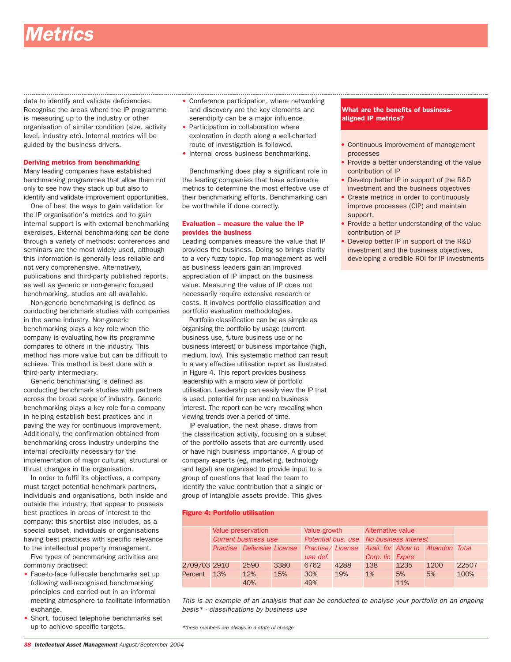## etrics

data to identify and validate deficiencies. Recognise the areas where the IP programme is measuring up to the industry or other organisation of similar condition (size, activity level, industry etc). Internal metrics will be guided by the business drivers.

#### Deriving metrics from benchmarking

Many leading companies have established benchmarking programmes that allow them not only to see how they stack up but also to identify and validate improvement opportunities.

One of best the ways to gain validation for the IP organisation's metrics and to gain internal support is with external benchmarking exercises. External benchmarking can be done through a variety of methods: conferences and seminars are the most widely used, although this information is generally less reliable and not very comprehensive. Alternatively, publications and third-party published reports, as well as generic or non-generic focused benchmarking, studies are all available.

Non-generic benchmarking is defined as conducting benchmark studies with companies in the same industry. Non-generic benchmarking plays a key role when the company is evaluating how its programme compares to others in the industry. This method has more value but can be difficult to achieve. This method is best done with a third-party intermediary.

Generic benchmarking is defined as conducting benchmark studies with partners across the broad scope of industry. Generic benchmarking plays a key role for a company in helping establish best practices and in paving the way for continuous improvement. Additionally, the confirmation obtained from benchmarking cross industry underpins the internal credibility necessary for the implementation of major cultural, structural or thrust changes in the organisation.

In order to fulfil its objectives, a company must target potential benchmark partners, individuals and organisations, both inside and outside the industry, that appear to possess best practices in areas of interest to the company: this shortlist also includes, as a special subset, individuals or organisations having best practices with specific relevance to the intellectual property management.

Five types of benchmarking activities are commonly practised:

- Face-to-face full-scale benchmarks set up following well-recognised benchmarking principles and carried out in an informal meeting atmosphere to facilitate information exchange.
- Short, focused telephone benchmarks set up to achieve specific targets.
- Conference participation, where networking and discovery are the key elements and serendipity can be a major influence.
- Participation in collaboration where exploration in depth along a well-charted route of investigation is followed.
- Internal cross business benchmarking.

Benchmarking does play a significant role in the leading companies that have actionable metrics to determine the most effective use of their benchmarking efforts. Benchmarking can be worthwhile if done correctly.

#### Evaluation – measure the value the IP provides the business

Leading companies measure the value that IP provides the business. Doing so brings clarity to a very fuzzy topic. Top management as well as business leaders gain an improved appreciation of IP impact on the business value. Measuring the value of IP does not necessarily require extensive research or costs. It involves portfolio classification and portfolio evaluation methodologies.

Portfolio classification can be as simple as organising the portfolio by usage (current business use, future business use or no business interest) or business importance (high, medium, low). This systematic method can result in a very effective utilisation report as illustrated in Figure 4. This report provides business leadership with a macro view of portfolio utilisation. Leadership can easily view the IP that is used, potential for use and no business interest. The report can be very revealing when viewing trends over a period of time.

IP evaluation, the next phase, draws from the classification activity, focusing on a subset of the portfolio assets that are currently used or have high business importance. A group of company experts (eg, marketing, technology and legal) are organised to provide input to a group of questions that lead the team to identify the value contribution that a single or group of intangible assets provide. This gives

#### Figure 4: Portfolio utilisation

|              | Value preservation<br><b>Current business use</b> |                                   | Value growth |          | Alternative value                       |                  |                                   |      |       |
|--------------|---------------------------------------------------|-----------------------------------|--------------|----------|-----------------------------------------|------------------|-----------------------------------|------|-------|
|              |                                                   |                                   |              |          | Potential bus, use No business interest |                  |                                   |      |       |
|              |                                                   | <b>Practise</b> Defensive License |              |          | Practise/License                        |                  | Avail, for Allow to Abandon Total |      |       |
|              |                                                   |                                   |              | use def. |                                         | Corp. lic Expire |                                   |      |       |
| 2/09/03 2910 |                                                   | 2590                              | 3380         | 6762     | 4288                                    | 138              | 1235                              | 1200 | 22507 |
| Percent 13%  |                                                   | 12%                               | 15%          | 30%      | 19%                                     | 1%               | 5%                                | 5%   | 100%  |
|              |                                                   | 40%                               |              | 49%      |                                         |                  | 11%                               |      |       |

*This is an example of an analysis that can be conducted to analyse your portfolio on an ongoing basis\* - classifications by business use*

*\*these numbers are always in a state of change*

### What are the benefits of businessaligned IP metrics?

Continuous improvement of management processes

- Provide a better understanding of the value contribution of IP
- Develop better IP in support of the R&D investment and the business objectives
- Create metrics in order to continuously improve processes (CIP) and maintain support.
- Provide a better understanding of the value contribution of IP
- Develop better IP in support of the R&D investment and the business objectives, developing a credible ROI for IP investments